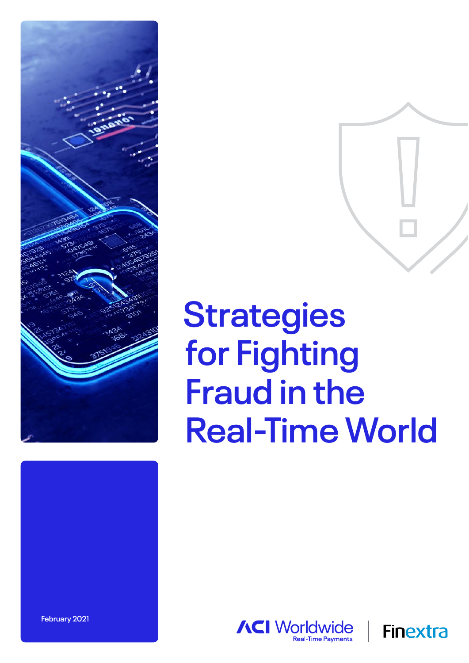

# **Strategies for Fighting Fraud in the Real-Time World**





**February 2021**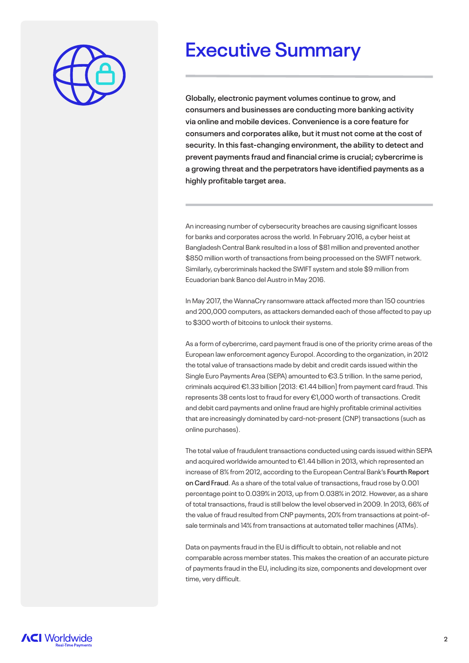

### **Executive Summary**

**Globally, electronic payment volumes continue to grow, and consumers and businesses are conducting more banking activity via online and mobile devices. Convenience is a core feature for consumers and corporates alike, but it must not come at the cost of security. In this fast-changing environment, the ability to detect and prevent payments fraud and financial crime is crucial; cybercrime is a growing threat and the perpetrators have identified payments as a highly profitable target area.**

An increasing number of cybersecurity breaches are causing significant losses for banks and corporates across the world. In February 2016, a cyber heist at Bangladesh Central Bank resulted in a loss of \$81 million and prevented another \$850 million worth of transactions from being processed on the SWIFT network. Similarly, cybercriminals hacked the SWIFT system and stole \$9 million from Ecuadorian bank Banco del Austro in May 2016.

In May 2017, the WannaCry ransomware attack affected more than 150 countries and 200,000 computers, as attackers demanded each of those affected to pay up to \$300 worth of bitcoins to unlock their systems.

As a form of cybercrime, card payment fraud is one of the priority crime areas of the European law enforcement agency Europol. According to the organization, in 2012 the total value of transactions made by debit and credit cards issued within the Single Euro Payments Area (SEPA) amounted to €3.5 trillion. In the same period, criminals acquired €1.33 billion [2013: €1.44 billion] from payment card fraud. This represents 38 cents lost to fraud for every €1,000 worth of transactions. Credit and debit card payments and online fraud are highly profitable criminal activities that are increasingly dominated by card-not-present (CNP) transactions (such as online purchases).

The total value of fraudulent transactions conducted using cards issued within SEPA and acquired worldwide amounted to €1.44 billion in 2013, which represented an increase of 8% from 2012, according to the European Central Bank's **Fourth Report on Card Fraud**. As a share of the total value of transactions, fraud rose by 0.001 percentage point to 0.039% in 2013, up from 0.038% in 2012. However, as a share of total transactions, fraud is still below the level observed in 2009. In 2013, 66% of the value of fraud resulted from CNP payments, 20% from transactions at point-ofsale terminals and 14% from transactions at automated teller machines (ATMs).

Data on payments fraud in the EU is difficult to obtain, not reliable and not comparable across member states. This makes the creation of an accurate picture of payments fraud in the EU, including its size, components and development over time, very difficult.

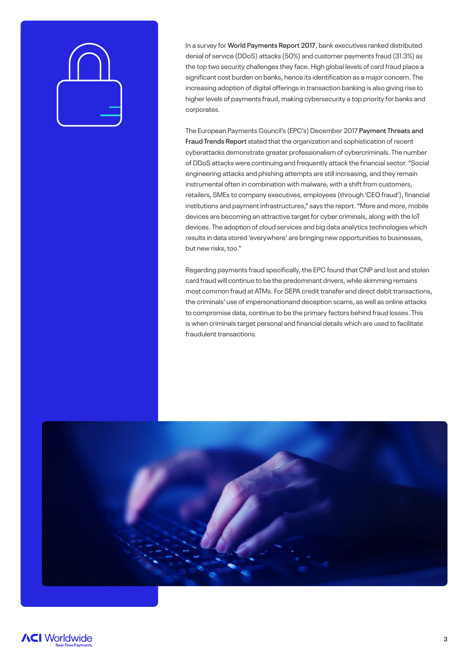In a survey for **World Payments Report 2017**, bank executives ranked distributed denial of service (DDoS) attacks (50%) and customer payments fraud (31.3%) as the top two security challenges they face. High global levels of card fraud place a significant cost burden on banks, hence its identification as a major concern. The increasing adoption of digital offerings in transaction banking is also giving rise to higher levels of payments fraud, making cybersecurity a top priority for banks and corporates.

The European Payments Council's (EPC's) December 2017 **Payment Threats and Fraud Trends Report** stated that the organization and sophistication of recent cyberattacks demonstrate greater professionalism of cybercriminals. The number of DDoS attacks were continuing and frequently attack the financial sector. "Social engineering attacks and phishing attempts are still increasing, and they remain instrumental often in combination with malware, with a shift from customers, retailers, SMEs to company executives, employees (through 'CEO fraud'), financial institutions and payment infrastructures," says the report. "More and more, mobile devices are becoming an attractive target for cyber criminals, along with the IoT devices. The adoption of cloud services and big data analytics technologies which results in data stored 'everywhere' are bringing new opportunities to businesses, but new risks, too."

Regarding payments fraud specifically, the EPC found that CNP and lost and stolen card fraud will continue to be the predominant drivers, while skimming remains most common fraud at ATMs. For SEPA credit transfer and direct debit transactions, the criminals' use of impersonationand deception scams, as well as online attacks to compromise data, continue to be the primary factors behind fraud losses. This is when criminals target personal and financial details which are used to facilitate fraudulent transactions.



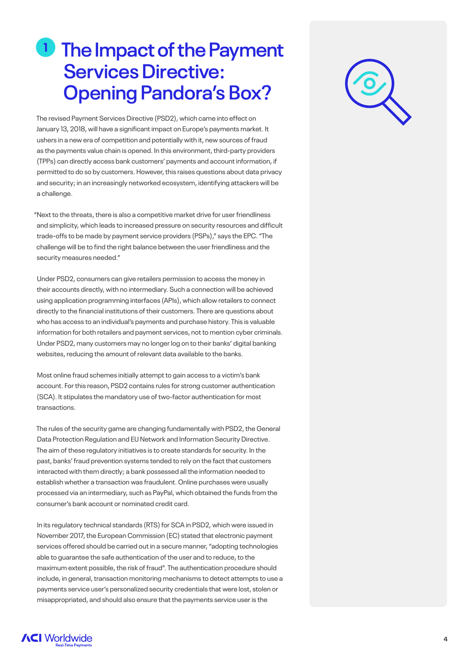## **1** The Impact of the Payment **Services Directive: Opening Pandora's Box?**

The revised Payment Services Directive (PSD2), which came into effect on January 13, 2018, will have a significant impact on Europe's payments market. It ushers in a new era of competition and potentially with it, new sources of fraud as the payments value chain is opened. In this environment, third-party providers (TPPs) can directly access bank customers' payments and account information, if permitted to do so by customers. However, this raises questions about data privacy and security; in an increasingly networked ecosystem, identifying attackers will be a challenge.

"Next to the threats, there is also a competitive market drive for user friendliness and simplicity, which leads to increased pressure on security resources and difficult trade-offs to be made by payment service providers (PSPs)," says the EPC. "The challenge will be to find the right balance between the user friendliness and the security measures needed."

Under PSD2, consumers can give retailers permission to access the money in their accounts directly, with no intermediary. Such a connection will be achieved using application programming interfaces (APIs), which allow retailers to connect directly to the financial institutions of their customers. There are questions about who has access to an individual's payments and purchase history. This is valuable information for both retailers and payment services, not to mention cyber criminals. Under PSD2, many customers may no longer log on to their banks' digital banking websites, reducing the amount of relevant data available to the banks.

Most online fraud schemes initially attempt to gain access to a victim's bank account. For this reason, PSD2 contains rules for strong customer authentication (SCA). It stipulates the mandatory use of two-factor authentication for most transactions.

The rules of the security game are changing fundamentally with PSD2, the General Data Protection Regulation and EU Network and Information Security Directive. The aim of these regulatory initiatives is to create standards for security. In the past, banks' fraud prevention systems tended to rely on the fact that customers interacted with them directly; a bank possessed all the information needed to establish whether a transaction was fraudulent. Online purchases were usually processed via an intermediary, such as PayPal, which obtained the funds from the consumer's bank account or nominated credit card.

In its regulatory technical standards (RTS) for SCA in PSD2, which were issued in November 2017, the European Commission (EC) stated that electronic payment services offered should be carried out in a secure manner, "adopting technologies able to guarantee the safe authentication of the user and to reduce, to the maximum extent possible, the risk of fraud". The authentication procedure should include, in general, transaction monitoring mechanisms to detect attempts to use a payments service user's personalized security credentials that were lost, stolen or misappropriated, and should also ensure that the payments service user is the



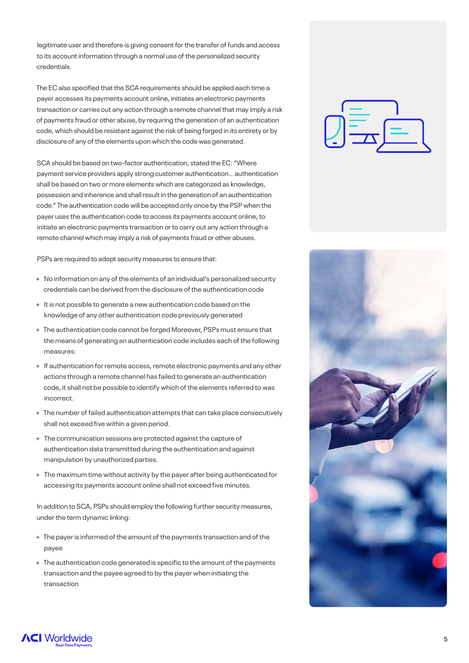legitimate user and therefore is giving consent for the transfer of funds and access to its account information through a normal use of the personalized security credentials.

The EC also specified that the SCA requirements should be applied each time a payer accesses its payments account online, initiates an electronic payments transaction or carries out any action through a remote channel that may imply a risk of payments fraud or other abuse, by requiring the generation of an authentication code, which should be resistant against the risk of being forged in its entirety or by disclosure of any of the elements upon which the code was generated.

SCA should be based on two-factor authentication, stated the EC: "Where payment service providers apply strong customer authentication… authentication shall be based on two or more elements which are categorized as knowledge, possession and inherence and shall result in the generation of an authentication code." The authentication code will be accepted only once by the PSP when the payer uses the authentication code to access its payments account online, to initiate an electronic payments transaction or to carry out any action through a remote channel which may imply a risk of payments fraud or other abuses.

PSPs are required to adopt security measures to ensure that:

- + No information on any of the elements of an individual's personalized security credentials can be derived from the disclosure of the authentication code
- + It is not possible to generate a new authentication code based on the knowledge of any other authentication code previously generated
- + The authentication code cannot be forged Moreover, PSPs must ensure that the means of generating an authentication code includes each of the following measures:
- + If authentication for remote access, remote electronic payments and any other actions through a remote channel has failed to generate an authentication code, it shall not be possible to identify which of the elements referred to was incorrect.
- + The number of failed authentication attempts that can take place consecutively shall not exceed five within a given period.
- + The communication sessions are protected against the capture of authentication data transmitted during the authentication and against manipulation by unauthorized parties.
- + The maximum time without activity by the payer after being authenticated for accessing its payments account online shall not exceed five minutes.

In addition to SCA, PSPs should employ the following further security measures, under the term dynamic linking:

- + The payer is informed of the amount of the payments transaction and of the payee
- + The authentication code generated is specific to the amount of the payments transaction and the payee agreed to by the payer when initiating the transaction





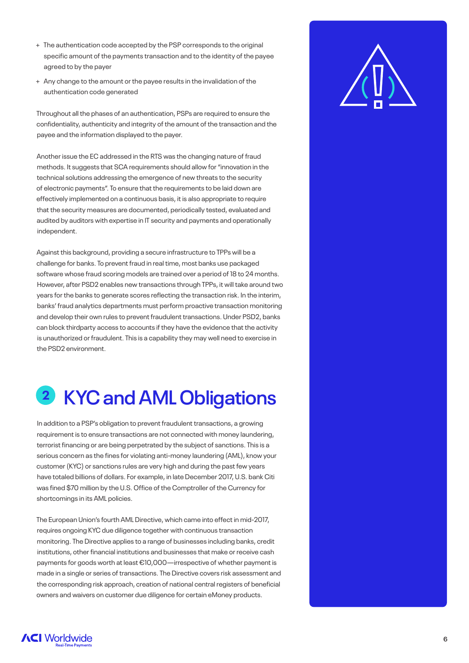- + The authentication code accepted by the PSP corresponds to the original specific amount of the payments transaction and to the identity of the payee agreed to by the payer
- + Any change to the amount or the payee results in the invalidation of the authentication code generated

Throughout all the phases of an authentication, PSPs are required to ensure the confidentiality, authenticity and integrity of the amount of the transaction and the payee and the information displayed to the payer.

Another issue the EC addressed in the RTS was the changing nature of fraud methods. It suggests that SCA requirements should allow for "innovation in the technical solutions addressing the emergence of new threats to the security of electronic payments". To ensure that the requirements to be laid down are effectively implemented on a continuous basis, it is also appropriate to require that the security measures are documented, periodically tested, evaluated and audited by auditors with expertise in IT security and payments and operationally independent.

Against this background, providing a secure infrastructure to TPPs will be a challenge for banks. To prevent fraud in real time, most banks use packaged software whose fraud scoring models are trained over a period of 18 to 24 months. However, after PSD2 enables new transactions through TPPs, it will take around two years for the banks to generate scores reflecting the transaction risk. In the interim, banks' fraud analytics departments must perform proactive transaction monitoring and develop their own rules to prevent fraudulent transactions. Under PSD2, banks can block thirdparty access to accounts if they have the evidence that the activity is unauthorized or fraudulent. This is a capability they may well need to exercise in the PSD2 environment.

### **KYC and AML Obligations 2**

In addition to a PSP's obligation to prevent fraudulent transactions, a growing requirement is to ensure transactions are not connected with money laundering, terrorist financing or are being perpetrated by the subject of sanctions. This is a serious concern as the fines for violating anti-money laundering (AML), know your customer (KYC) or sanctions rules are very high and during the past few years have totaled billions of dollars. For example, in late December 2017, U.S. bank Citi was fined \$70 million by the U.S. Office of the Comptroller of the Currency for shortcomings in its AML policies.

The European Union's fourth AML Directive, which came into effect in mid-2017, requires ongoing KYC due diligence together with continuous transaction monitoring. The Directive applies to a range of businesses including banks, credit institutions, other financial institutions and businesses that make or receive cash payments for goods worth at least €10,000—irrespective of whether payment is made in a single or series of transactions. The Directive covers risk assessment and the corresponding risk approach, creation of national central registers of beneficial owners and waivers on customer due diligence for certain eMoney products.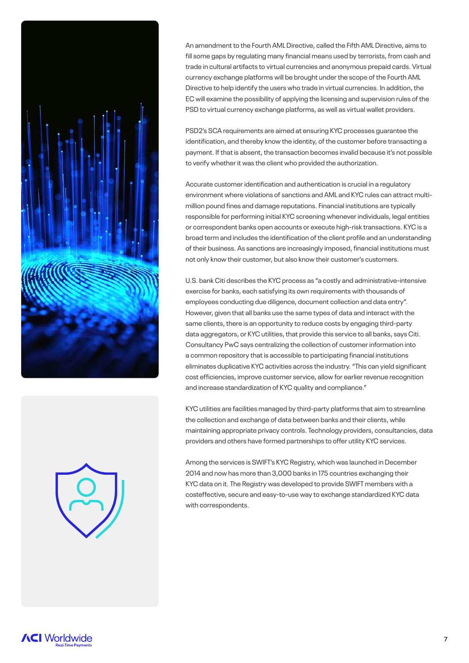



An amendment to the Fourth AML Directive, called the Fifth AML Directive, aims to fill some gaps by regulating many financial means used by terrorists, from cash and trade in cultural artifacts to virtual currencies and anonymous prepaid cards. Virtual currency exchange platforms will be brought under the scope of the Fourth AML Directive to help identify the users who trade in virtual currencies. In addition, the EC will examine the possibility of applying the licensing and supervision rules of the PSD to virtual currency exchange platforms, as well as virtual wallet providers.

PSD2's SCA requirements are aimed at ensuring KYC processes guarantee the identification, and thereby know the identity, of the customer before transacting a payment. If that is absent, the transaction becomes invalid because it's not possible to verify whether it was the client who provided the authorization.

Accurate customer identification and authentication is crucial in a regulatory environment where violations of sanctions and AML and KYC rules can attract multimillion pound fines and damage reputations. Financial institutions are typically responsible for performing initial KYC screening whenever individuals, legal entities or correspondent banks open accounts or execute high-risk transactions. KYC is a broad term and includes the identification of the client profile and an understanding of their business. As sanctions are increasingly imposed, financial institutions must not only know their customer, but also know their customer's customers.

U.S. bank Citi describes the KYC process as "a costly and administrative-intensive exercise for banks, each satisfying its own requirements with thousands of employees conducting due diligence, document collection and data entry". However, given that all banks use the same types of data and interact with the same clients, there is an opportunity to reduce costs by engaging third-party data aggregators, or KYC utilities, that provide this service to all banks, says Citi. Consultancy PwC says centralizing the collection of customer information into a common repository that is accessible to participating financial institutions eliminates duplicative KYC activities across the industry. "This can yield significant cost efficiencies, improve customer service, allow for earlier revenue recognition and increase standardization of KYC quality and compliance."

KYC utilities are facilities managed by third-party platforms that aim to streamline the collection and exchange of data between banks and their clients, while maintaining appropriate privacy controls. Technology providers, consultancies, data providers and others have formed partnerships to offer utility KYC services.

Among the services is SWIFT's KYC Registry, which was launched in December 2014 and now has more than 3,000 banks in 175 countries exchanging their KYC data on it. The Registry was developed to provide SWIFT members with a costeffective, secure and easy-to-use way to exchange standardized KYC data with correspondents.

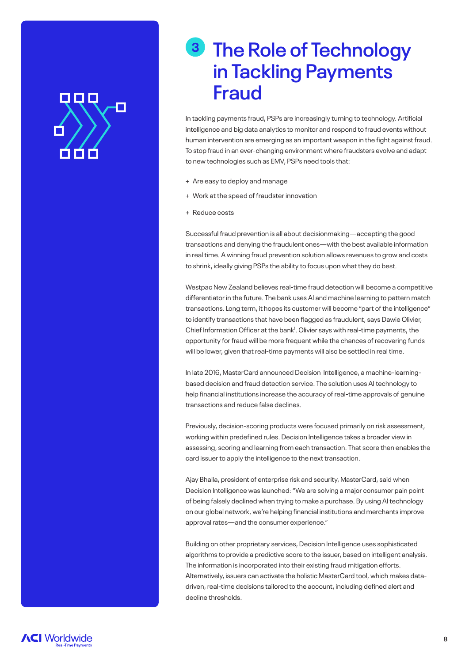## OD 10 C

## **The Role of Technology 3in Tackling Payments Fraud**

In tackling payments fraud, PSPs are increasingly turning to technology. Artificial intelligence and big data analytics to monitor and respond to fraud events without human intervention are emerging as an important weapon in the fight against fraud. To stop fraud in an ever-changing environment where fraudsters evolve and adapt to new technologies such as EMV, PSPs need tools that:

- + Are easy to deploy and manage
- + Work at the speed of fraudster innovation
- + Reduce costs

Successful fraud prevention is all about decisionmaking—accepting the good transactions and denying the fraudulent ones—with the best available information in real time. A winning fraud prevention solution allows revenues to grow and costs to shrink, ideally giving PSPs the ability to focus upon what they do best.

Westpac New Zealand believes real-time fraud detection will become a competitive differentiator in the future. The bank uses AI and machine learning to pattern match transactions. Long term, it hopes its customer will become "part of the intelligence" to identify transactions that have been flagged as fraudulent, says Dawie Olivier, Chief Information Officer at the bank<sup>1</sup>. Olivier says with real-time payments, the opportunity for fraud will be more frequent while the chances of recovering funds will be lower, given that real-time payments will also be settled in real time.

In late 2016, MasterCard announced Decision Intelligence, a machine-learningbased decision and fraud detection service. The solution uses AI technology to help financial institutions increase the accuracy of real-time approvals of genuine transactions and reduce false declines.

Previously, decision-scoring products were focused primarily on risk assessment, working within predefined rules. Decision Intelligence takes a broader view in assessing, scoring and learning from each transaction. That score then enables the card issuer to apply the intelligence to the next transaction.

Ajay Bhalla, president of enterprise risk and security, MasterCard, said when Decision Intelligence was launched: "We are solving a major consumer pain point of being falsely declined when trying to make a purchase. By using AI technology on our global network, we're helping financial institutions and merchants improve approval rates—and the consumer experience."

Building on other proprietary services, Decision Intelligence uses sophisticated algorithms to provide a predictive score to the issuer, based on intelligent analysis. The information is incorporated into their existing fraud mitigation efforts. Alternatively, issuers can activate the holistic MasterCard tool, which makes datadriven, real-time decisions tailored to the account, including defined alert and decline thresholds.

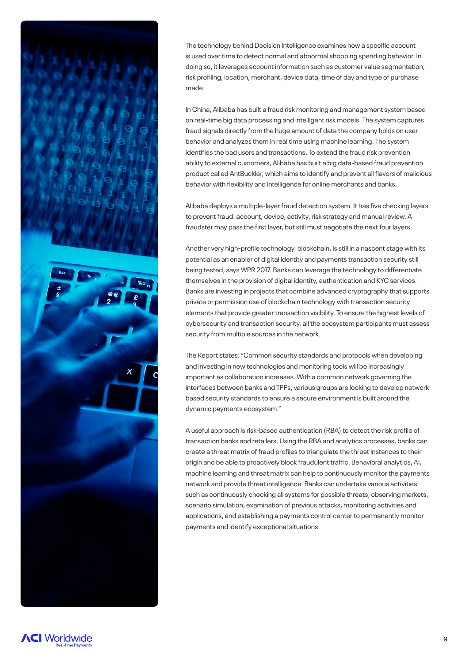

The technology behind Decision Intelligence examines how a specific account is used over time to detect normal and abnormal shopping spending behavior. In doing so, it leverages account information such as customer value segmentation, risk profiling, location, merchant, device data, time of day and type of purchase made.

In China, Alibaba has built a fraud risk monitoring and management system based on real-time big data processing and intelligent risk models. The system captures fraud signals directly from the huge amount of data the company holds on user behavior and analyzes them in real time using machine learning. The system identifies the bad users and transactions. To extend the fraud risk prevention ability to external customers, Alibaba has built a big data-based fraud prevention product called AntBuckler, which aims to identify and prevent all flavors of malicious behavior with flexibility and intelligence for online merchants and banks.

Alibaba deploys a multiple-layer fraud detection system. It has five checking layers to prevent fraud: account, device, activity, risk strategy and manual review. A fraudster may pass the first layer, but still must negotiate the next four layers.

Another very high-profile technology, blockchain, is still in a nascent stage with its potential as an enabler of digital identity and payments transaction security still being tested, says WPR 2017. Banks can leverage the technology to differentiate themselves in the provision of digital identity, authentication and KYC services. Banks are investing in projects that combine advanced cryptography that supports private or permission use of blockchain technology with transaction security elements that provide greater transaction visibility. To ensure the highest levels of cybersecurity and transaction security, all the ecosystem participants must assess security from multiple sources in the network.

The Report states: "Common security standards and protocols when developing and investing in new technologies and monitoring tools will be increasingly important as collaboration increases. With a common network governing the interfaces between banks and TPPs, various groups are looking to develop networkbased security standards to ensure a secure environment is built around the dynamic payments ecosystem."

A useful approach is risk-based authentication (RBA) to detect the risk profile of transaction banks and retailers. Using the RBA and analytics processes, banks can create a threat matrix of fraud profiles to triangulate the threat instances to their origin and be able to proactively block fraudulent traffic. Behavioral analytics, AI, machine learning and threat matrix can help to continuously monitor the payments network and provide threat intelligence. Banks can undertake various activities such as continuously checking all systems for possible threats, observing markets, scenario simulation, examination of previous attacks, monitoring activities and applications, and establishing a payments control center to permanently monitor payments and identify exceptional situations.

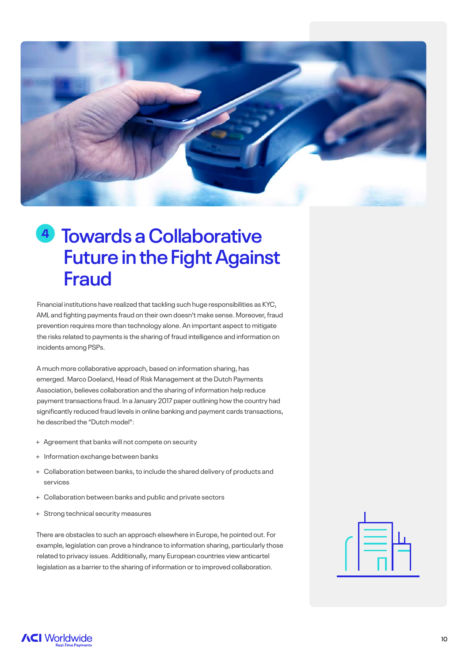

## **4** Towards a Collaborative **Future in the Fight Against Fraud**

Financial institutions have realized that tackling such huge responsibilities as KYC, AML and fighting payments fraud on their own doesn't make sense. Moreover, fraud prevention requires more than technology alone. An important aspect to mitigate the risks related to payments is the sharing of fraud intelligence and information on incidents among PSPs.

A much more collaborative approach, based on information sharing, has emerged. Marco Doeland, Head of Risk Management at the Dutch Payments Association, believes collaboration and the sharing of information help reduce payment transactions fraud. In a January 2017 paper outlining how the country had significantly reduced fraud levels in online banking and payment cards transactions, he described the "Dutch model":

- + Agreement that banks will not compete on security
- + Information exchange between banks
- + Collaboration between banks, to include the shared delivery of products and services
- + Collaboration between banks and public and private sectors
- + Strong technical security measures

There are obstacles to such an approach elsewhere in Europe, he pointed out. For example, legislation can prove a hindrance to information sharing, particularly those related to privacy issues. Additionally, many European countries view anticartel legislation as a barrier to the sharing of information or to improved collaboration.

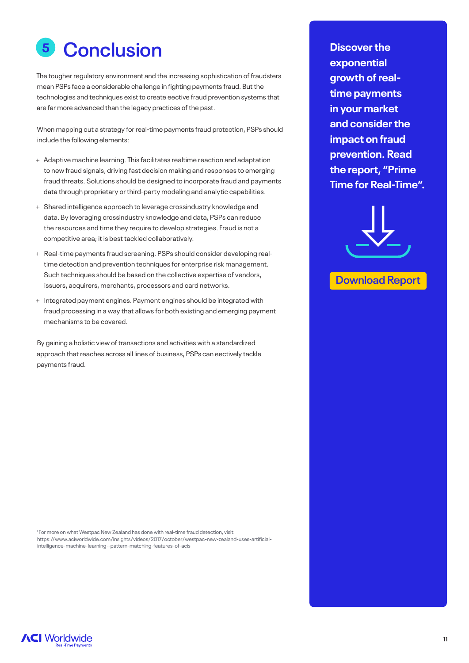## **5 Conclusion**

The tougher regulatory environment and the increasing sophistication of fraudsters mean PSPs face a considerable challenge in fighting payments fraud. But the technologies and techniques exist to create eective fraud prevention systems that are far more advanced than the legacy practices of the past.

When mapping out a strategy for real-time payments fraud protection, PSPs should include the following elements:

- + Adaptive machine learning. This facilitates realtime reaction and adaptation to new fraud signals, driving fast decision making and responses to emerging fraud threats. Solutions should be designed to incorporate fraud and payments data through proprietary or third-party modeling and analytic capabilities.
- + Shared intelligence approach to leverage crossindustry knowledge and data. By leveraging crossindustry knowledge and data, PSPs can reduce the resources and time they require to develop strategies. Fraud is not a competitive area; it is best tackled collaboratively.
- + Real-time payments fraud screening. PSPs should consider developing realtime detection and prevention techniques for enterprise risk management. Such techniques should be based on the collective expertise of vendors, issuers, acquirers, merchants, processors and card networks.
- + Integrated payment engines. Payment engines should be integrated with fraud processing in a way that allows for both existing and emerging payment mechanisms to be covered.

By gaining a holistic view of transactions and activities with a standardized approach that reaches across all lines of business, PSPs can eectively tackle payments fraud.

**exponential growth of realtime payments in your market and consider the impact on fraud prevention. Read the report, "Prime [Time for Real-Time".](https://www.aciworldwide.com/primetime)**



**Download Report**

<sup>1</sup> For more on what Westpac New Zealand has done with real-time fraud detection, visit: https://www.aciworldwide.com/insights/videos/2017/october/westpac-new-zealand-uses-artificialintelligence-machine-learning--pattern-matching-features-of-acis